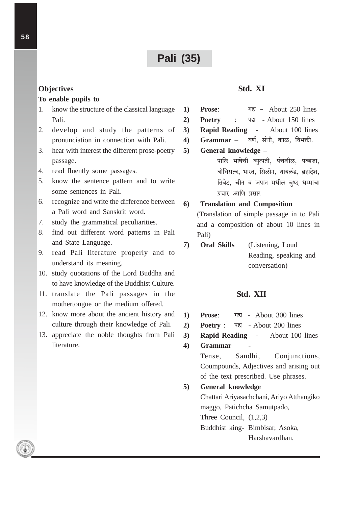# **Pali (35)**

### **Objectives**

### To enable pupils to

- $1<sub>1</sub>$ know the structure of the classical language Pali.
- $2.$ develop and study the patterns of pronunciation in connection with Pali.
- $\mathcal{R}$ hear with interest the different prose-poetry passage.
- 4. read fluently some passages.
- $5<sub>1</sub>$ know the sentence pattern and to write some sentences in Pali.
- 6. recognize and write the difference between a Pali word and Sanskrit word.
- 7. study the grammatical peculiarities.
- 8. find out different word patterns in Pali and State Language.
- 9. read Pali literature properly and to understand its meaning.
- 10. study quotations of the Lord Buddha and to have knowledge of the Buddhist Culture.
- 11. translate the Pali passages in the mothertongue or the medium offered.
- 12. know more about the ancient history and culture through their knowledge of Pali.
- 13. appreciate the noble thoughts from Pali literature.

## Std. XI

- गद्य About 250 lines Prose:  $\bf{1}$
- $2)$ **Poetry**  $\ddot{\cdot}$ पद्य - About 150 lines
- **Rapid Reading -**About 100 lines  $3)$
- $\overline{4}$  $Grammar -$ वर्ण, संधी, काळ, विभक्ती.
- General knowledge - $5)$ पालि भाषेची व्युत्पती, पंचशील, पब्बजा,
	- बोधिसत्व, भारत, सिलोन, थायलंड, ब्रह्मदेश, तिबेट. चीन व जपान मधील बुध्द धम्माचा प्रचार आणि प्रसार

#### **Translation and Composition**  $6)$

(Translation of simple passage in to Pali and a composition of about 10 lines in Pali)

**Oral Skills**  $\overline{7}$ (Listening, Loud Reading, speaking and conversation)

# Std. XII

- Prose: गद्य - About 300 lines  $\bf{1}$
- $2)$ **Poetry:** पद्य - About 200 lines
- **Rapid Reading -** $3)$ About 100 lines
- $\overline{4}$ **Grammar** Sandhi. Tense. Conjunctions. Coumpounds, Adjectives and arising out of the text prescribed. Use phrases.
- **General knowledge**  $5)$ Chattari Ariyasachchani, Ariyo Atthangiko maggo, Patichcha Samutpado, Three Council,  $(1,2,3)$ Buddhist king- Bimbisar. Asoka. Harshavardhan.